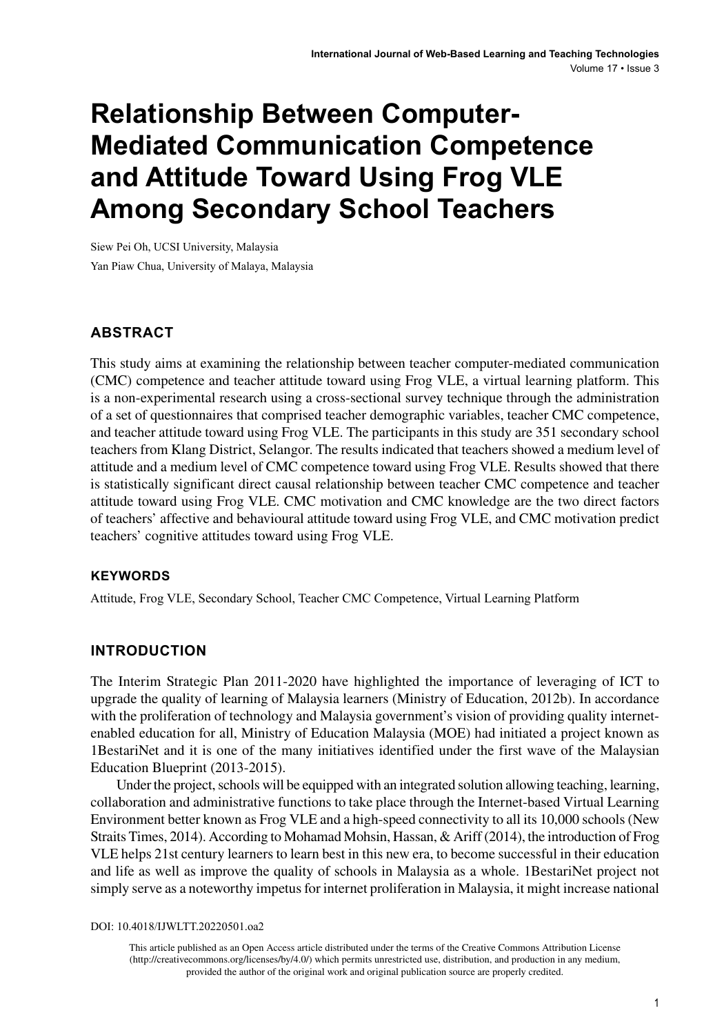# **Relationship Between Computer-Mediated Communication Competence and Attitude Toward Using Frog VLE Among Secondary School Teachers**

Siew Pei Oh, UCSI University, Malaysia Yan Piaw Chua, University of Malaya, Malaysia

## **ABSTRACT**

This study aims at examining the relationship between teacher computer-mediated communication (CMC) competence and teacher attitude toward using Frog VLE, a virtual learning platform. This is a non-experimental research using a cross-sectional survey technique through the administration of a set of questionnaires that comprised teacher demographic variables, teacher CMC competence, and teacher attitude toward using Frog VLE. The participants in this study are 351 secondary school teachers from Klang District, Selangor. The results indicated that teachers showed a medium level of attitude and a medium level of CMC competence toward using Frog VLE. Results showed that there is statistically significant direct causal relationship between teacher CMC competence and teacher attitude toward using Frog VLE. CMC motivation and CMC knowledge are the two direct factors of teachers' affective and behavioural attitude toward using Frog VLE, and CMC motivation predict teachers' cognitive attitudes toward using Frog VLE.

#### **Keywords**

Attitude, Frog VLE, Secondary School, Teacher CMC Competence, Virtual Learning Platform

#### **INTRODUCTION**

The Interim Strategic Plan 2011-2020 have highlighted the importance of leveraging of ICT to upgrade the quality of learning of Malaysia learners (Ministry of Education, 2012b). In accordance with the proliferation of technology and Malaysia government's vision of providing quality internetenabled education for all, Ministry of Education Malaysia (MOE) had initiated a project known as 1BestariNet and it is one of the many initiatives identified under the first wave of the Malaysian Education Blueprint (2013-2015).

Under the project, schools will be equipped with an integrated solution allowing teaching, learning, collaboration and administrative functions to take place through the Internet-based Virtual Learning Environment better known as Frog VLE and a high-speed connectivity to all its 10,000 schools (New Straits Times, 2014). According to Mohamad Mohsin, Hassan, & Ariff (2014), the introduction of Frog VLE helps 21st century learners to learn best in this new era, to become successful in their education and life as well as improve the quality of schools in Malaysia as a whole. 1BestariNet project not simply serve as a noteworthy impetus for internet proliferation in Malaysia, it might increase national

DOI: 10.4018/IJWLTT.20220501.oa2

This article published as an Open Access article distributed under the terms of the Creative Commons Attribution License (http://creativecommons.org/licenses/by/4.0/) which permits unrestricted use, distribution, and production in any medium, provided the author of the original work and original publication source are properly credited.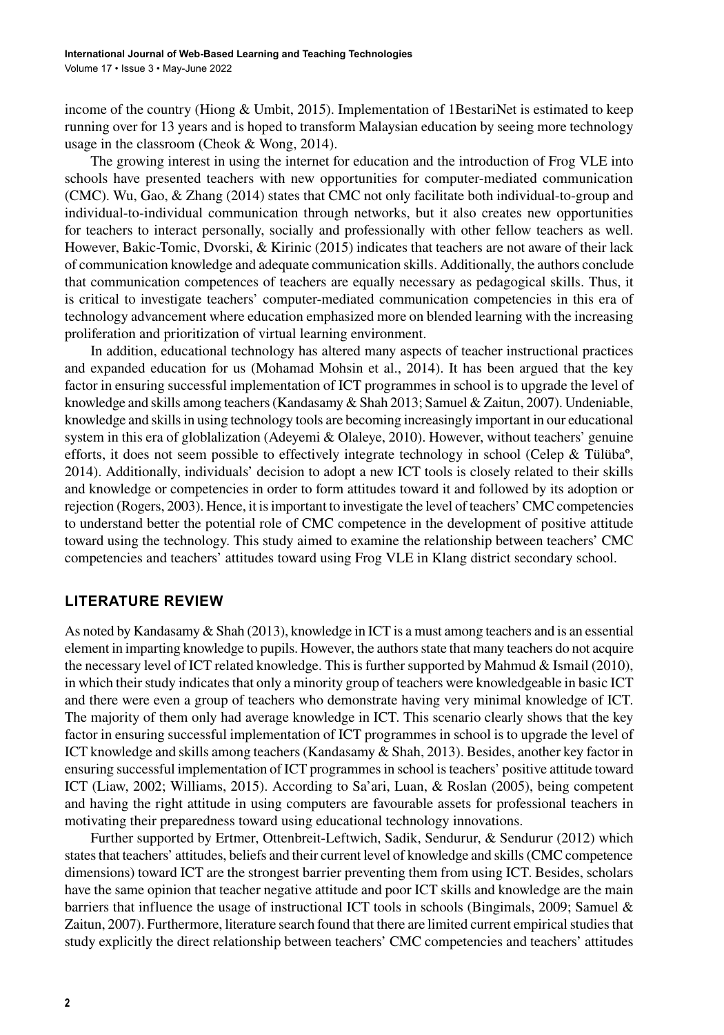income of the country (Hiong & Umbit, 2015). Implementation of 1BestariNet is estimated to keep running over for 13 years and is hoped to transform Malaysian education by seeing more technology usage in the classroom (Cheok & Wong, 2014).

The growing interest in using the internet for education and the introduction of Frog VLE into schools have presented teachers with new opportunities for computer-mediated communication (CMC). Wu, Gao, & Zhang (2014) states that CMC not only facilitate both individual-to-group and individual-to-individual communication through networks, but it also creates new opportunities for teachers to interact personally, socially and professionally with other fellow teachers as well. However, Bakic-Tomic, Dvorski, & Kirinic (2015) indicates that teachers are not aware of their lack of communication knowledge and adequate communication skills. Additionally, the authors conclude that communication competences of teachers are equally necessary as pedagogical skills. Thus, it is critical to investigate teachers' computer-mediated communication competencies in this era of technology advancement where education emphasized more on blended learning with the increasing proliferation and prioritization of virtual learning environment.

In addition, educational technology has altered many aspects of teacher instructional practices and expanded education for us (Mohamad Mohsin et al., 2014). It has been argued that the key factor in ensuring successful implementation of ICT programmes in school is to upgrade the level of knowledge and skills among teachers (Kandasamy & Shah 2013; Samuel & Zaitun, 2007). Undeniable, knowledge and skills in using technology tools are becoming increasingly important in our educational system in this era of globlalization (Adeyemi & Olaleye, 2010). However, without teachers' genuine efforts, it does not seem possible to effectively integrate technology in school (Celep & Tülüba<sup>o</sup>, 2014). Additionally, individuals' decision to adopt a new ICT tools is closely related to their skills and knowledge or competencies in order to form attitudes toward it and followed by its adoption or rejection (Rogers, 2003). Hence, it is important to investigate the level of teachers' CMC competencies to understand better the potential role of CMC competence in the development of positive attitude toward using the technology. This study aimed to examine the relationship between teachers' CMC competencies and teachers' attitudes toward using Frog VLE in Klang district secondary school.

## **LITERATURE REVIEW**

As noted by Kandasamy & Shah (2013), knowledge in ICT is a must among teachers and is an essential element in imparting knowledge to pupils. However, the authors state that many teachers do not acquire the necessary level of ICT related knowledge. This is further supported by Mahmud & Ismail (2010), in which their study indicates that only a minority group of teachers were knowledgeable in basic ICT and there were even a group of teachers who demonstrate having very minimal knowledge of ICT. The majority of them only had average knowledge in ICT. This scenario clearly shows that the key factor in ensuring successful implementation of ICT programmes in school is to upgrade the level of ICT knowledge and skills among teachers (Kandasamy & Shah, 2013). Besides, another key factor in ensuring successful implementation of ICT programmes in school is teachers' positive attitude toward ICT (Liaw, 2002; Williams, 2015). According to Sa'ari, Luan, & Roslan (2005), being competent and having the right attitude in using computers are favourable assets for professional teachers in motivating their preparedness toward using educational technology innovations.

Further supported by Ertmer, Ottenbreit-Leftwich, Sadik, Sendurur, & Sendurur (2012) which states that teachers' attitudes, beliefs and their current level of knowledge and skills (CMC competence dimensions) toward ICT are the strongest barrier preventing them from using ICT. Besides, scholars have the same opinion that teacher negative attitude and poor ICT skills and knowledge are the main barriers that influence the usage of instructional ICT tools in schools (Bingimals, 2009; Samuel & Zaitun, 2007). Furthermore, literature search found that there are limited current empirical studies that study explicitly the direct relationship between teachers' CMC competencies and teachers' attitudes